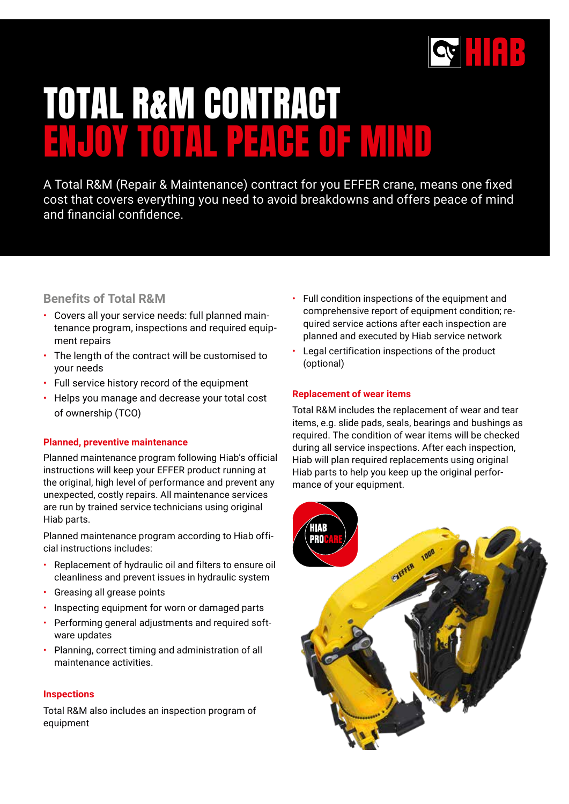

# TOTAL R&M CONTRACT ENJOY TOTAL PEACE OF MIND

A Total R&M (Repair & Maintenance) contract for you EFFER crane, means one fixed cost that covers everything you need to avoid breakdowns and offers peace of mind and financial confidence.

## **Benefits of Total R&M**

- Covers all your service needs: full planned maintenance program, inspections and required equipment repairs
- The length of the contract will be customised to your needs
- Full service history record of the equipment
- Helps you manage and decrease your total cost of ownership (TCO)

### **Planned, preventive maintenance**

Planned maintenance program following Hiab's official instructions will keep your EFFER product running at the original, high level of performance and prevent any unexpected, costly repairs. All maintenance services are run by trained service technicians using original Hiab parts.

Planned maintenance program according to Hiab official instructions includes:

- Replacement of hydraulic oil and filters to ensure oil cleanliness and prevent issues in hydraulic system
- Greasing all grease points
- Inspecting equipment for worn or damaged parts
- Performing general adjustments and required software updates
- Planning, correct timing and administration of all maintenance activities.

### **Inspections**

Total R&M also includes an inspection program of equipment

- Full condition inspections of the equipment and comprehensive report of equipment condition; required service actions after each inspection are planned and executed by Hiab service network
- Legal certification inspections of the product (optional)

### **Replacement of wear items**

Total R&M includes the replacement of wear and tear items, e.g. slide pads, seals, bearings and bushings as required. The condition of wear items will be checked during all service inspections. After each inspection, Hiab will plan required replacements using original Hiab parts to help you keep up the original performance of your equipment.